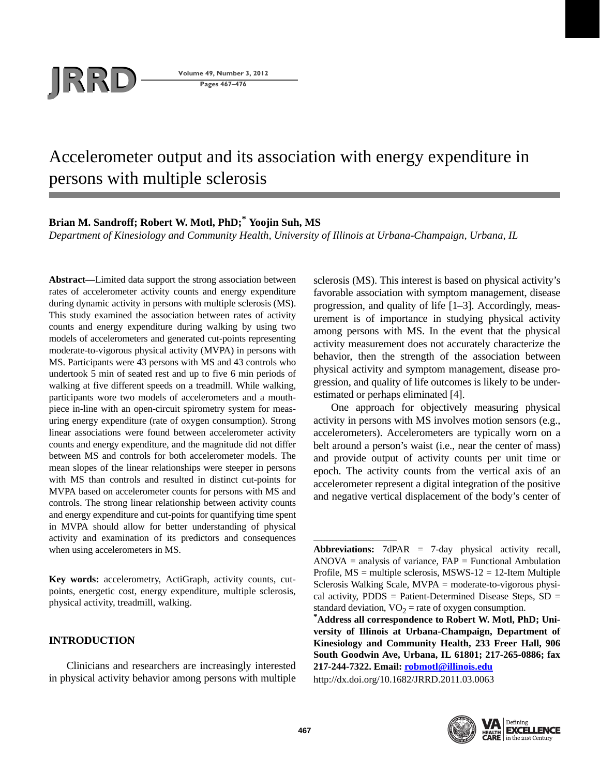

**Pages 467–476**

# Accelerometer output and its association with energy expenditure in persons with multiple sclerosis

## **Brian M. Sandroff; Robert W. Motl, PhD;\* Yoojin Suh, MS**

*Department of Kinesiology and Community Health, University of Illinois at Urbana-Champaign, Urbana, IL*

**Abstract—**Limited data support the strong association between rates of accelerometer activity counts and energy expenditure during dynamic activity in persons with multiple sclerosis (MS). This study examined the association between rates of activity counts and energy expenditure during walking by using two models of accelerometers and generated cut-points representing moderate-to-vigorous physical activity (MVPA) in persons with MS. Participants were 43 persons with MS and 43 controls who undertook 5 min of seated rest and up to five 6 min periods of walking at five different speeds on a treadmill. While walking, participants wore two models of accelerometers and a mouthpiece in-line with an open-circuit spirometry system for measuring energy expenditure (rate of oxygen consumption). Strong linear associations were found between accelerometer activity counts and energy expenditure, and the magnitude did not differ between MS and controls for both accelerometer models. The mean slopes of the linear relationships were steeper in persons with MS than controls and resulted in distinct cut-points for MVPA based on accelerometer counts for persons with MS and controls. The strong linear relationship between activity counts and energy expenditure and cut-points for quantifying time spent in MVPA should allow for better understanding of physical activity and examination of its predictors and consequences when using accelerometers in MS.

**Key words:** accelerometry, ActiGraph, activity counts, cutpoints, energetic cost, energy expenditure, multiple sclerosis, physical activity, treadmill, walking.

## **INTRODUCTION**

Clinicians and researchers are increasingly interested in physical activity behavior among persons with multiple sclerosis (MS). This interest is based on physical activity's favorable association with symptom management, disease progression, and quality of life [1–3]. Accordingly, measurement is of importance in studying physical activity among persons with MS. In the event that the physical activity measurement does not accurately characterize the behavior, then the strength of the association between physical activity and symptom management, disease progression, and quality of life outcomes is likely to be underestimated or perhaps eliminated [4].

One approach for objectively measuring physical activity in persons with MS involves motion sensors (e.g., accelerometers). Accelerometers are typically worn on a belt around a person's waist (i.e., near the center of mass) and provide output of activity counts per unit time or epoch. The activity counts from the vertical axis of an accelerometer represent a digital integration of the positive and negative vertical displacement of the body's center of

http://dx.doi.org/10.1682/JRRD.2011.03.0063



**Abbreviations:** 7dPAR = 7-day physical activity recall,  $ANOVA =$  analysis of variance,  $FAP =$  Functional Ambulation Profile,  $MS =$  multiple sclerosis,  $MSWS-12 = 12$ -Item Multiple Sclerosis Walking Scale, MVPA = moderate-to-vigorous physical activity,  $PDDS =$  Patient-Determined Disease Steps,  $SD =$ standard deviation, VO<sub>2</sub> = rate of oxygen consumption.<br> **\*Address all correspondence to Robert W. Motl, PhD; Uni-**

**versity of Illinois at Urbana-Champaign, Department of Kinesiology and Community Health, 233 Freer Hall, 906 South Goodwin Ave, Urbana, IL 61801; 217-265-0886; fax 217-244-7322. Email: robmotl@illinois.edu**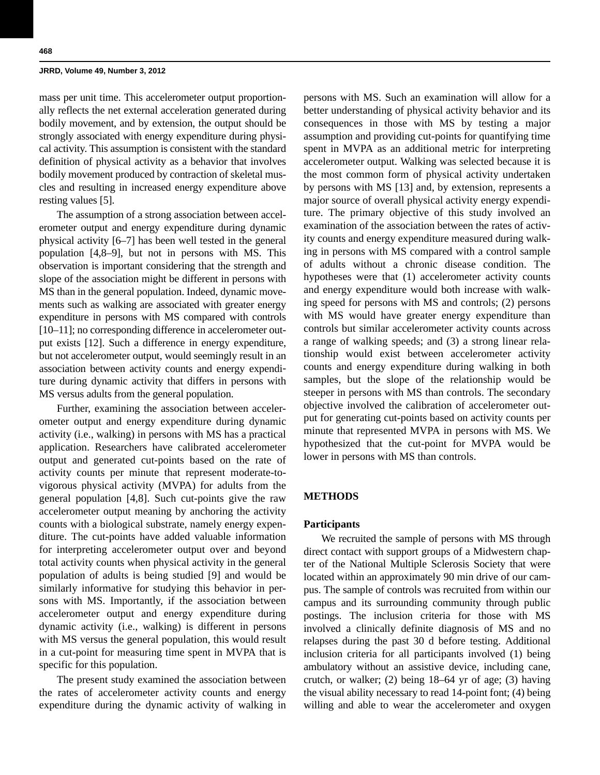mass per unit time. This accelerometer output proportionally reflects the net external acceleration generated during bodily movement, and by extension, the output should be strongly associated with energy expenditure during physical activity. This assumption is consistent with the standard definition of physical activity as a behavior that involves bodily movement produced by contraction of skeletal muscles and resulting in increased energy expenditure above resting values [5].

The assumption of a strong association between accelerometer output and energy expenditure during dynamic physical activity [6–7] has been well tested in the general population [4,8–9], but not in persons with MS. This observation is important considering that the strength and slope of the association might be different in persons with MS than in the general population. Indeed, dynamic movements such as walking are associated with greater energy expenditure in persons with MS compared with controls [10–11]; no corresponding difference in accelerometer output exists [12]. Such a difference in energy expenditure, but not accelerometer output, would seemingly result in an association between activity counts and energy expenditure during dynamic activity that differs in persons with MS versus adults from the general population.

Further, examining the association between accelerometer output and energy expenditure during dynamic activity (i.e., walking) in persons with MS has a practical application. Researchers have calibrated accelerometer output and generated cut-points based on the rate of activity counts per minute that represent moderate-tovigorous physical activity (MVPA) for adults from the general population [4,8]. Such cut-points give the raw accelerometer output meaning by anchoring the activity counts with a biological substrate, namely energy expenditure. The cut-points have added valuable information for interpreting accelerometer output over and beyond total activity counts when physical activity in the general population of adults is being studied [9] and would be similarly informative for studying this behavior in persons with MS. Importantly, if the association between accelerometer output and energy expenditure during dynamic activity (i.e., walking) is different in persons with MS versus the general population, this would result in a cut-point for measuring time spent in MVPA that is specific for this population.

The present study examined the association between the rates of accelerometer activity counts and energy expenditure during the dynamic activity of walking in persons with MS. Such an examination will allow for a better understanding of physical activity behavior and its consequences in those with MS by testing a major assumption and providing cut-points for quantifying time spent in MVPA as an additional metric for interpreting accelerometer output. Walking was selected because it is the most common form of physical activity undertaken by persons with MS [13] and, by extension, represents a major source of overall physical activity energy expenditure. The primary objective of this study involved an examination of the association between the rates of activity counts and energy expenditure measured during walking in persons with MS compared with a control sample of adults without a chronic disease condition. The hypotheses were that (1) accelerometer activity counts and energy expenditure would both increase with walking speed for persons with MS and controls; (2) persons with MS would have greater energy expenditure than controls but similar accelerometer activity counts across a range of walking speeds; and (3) a strong linear relationship would exist between accelerometer activity counts and energy expenditure during walking in both samples, but the slope of the relationship would be steeper in persons with MS than controls. The secondary objective involved the calibration of accelerometer output for generating cut-points based on activity counts per minute that represented MVPA in persons with MS. We hypothesized that the cut-point for MVPA would be lower in persons with MS than controls.

## **METHODS**

#### **Participants**

We recruited the sample of persons with MS through direct contact with support groups of a Midwestern chapter of the National Multiple Sclerosis Society that were located within an approximately 90 min drive of our campus. The sample of controls was recruited from within our campus and its surrounding community through public postings. The inclusion criteria for those with MS involved a clinically definite diagnosis of MS and no relapses during the past 30 d before testing. Additional inclusion criteria for all participants involved (1) being ambulatory without an assistive device, including cane, crutch, or walker; (2) being 18–64 yr of age; (3) having the visual ability necessary to read 14-point font; (4) being willing and able to wear the accelerometer and oxygen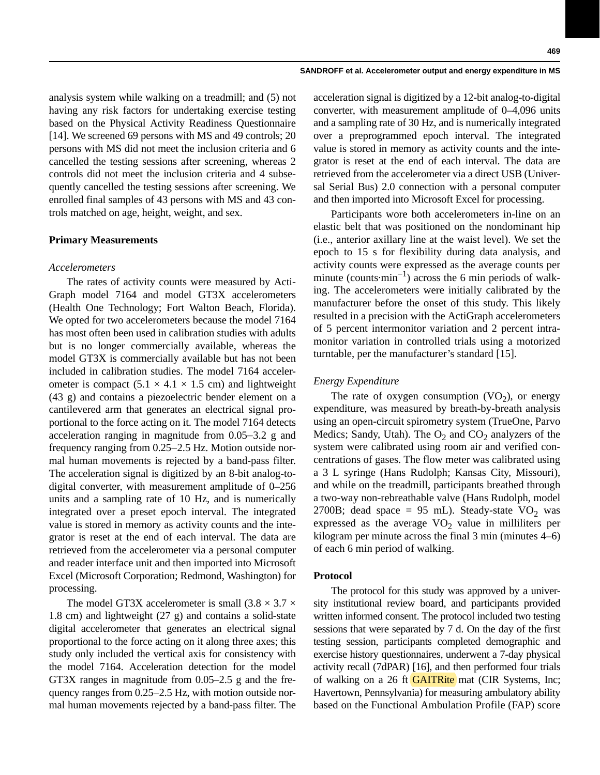analysis system while walking on a treadmill; and (5) not having any risk factors for undertaking exercise testing based on the Physical Activity Readiness Questionnaire [14]. We screened 69 persons with MS and 49 controls; 20 persons with MS did not meet the inclusion criteria and 6 cancelled the testing sessions after screening, whereas 2 controls did not meet the inclusion criteria and 4 subsequently cancelled the testing sessions after screening. We enrolled final samples of 43 persons with MS and 43 controls matched on age, height, weight, and sex.

#### **Primary Measurements**

#### *Accelerometers*

The rates of activity counts were measured by Acti-Graph model 7164 and model GT3X accelerometers (Health One Technology; Fort Walton Beach, Florida). We opted for two accelerometers because the model 7164 has most often been used in calibration studies with adults but is no longer commercially available, whereas the model GT3X is commercially available but has not been included in calibration studies. The model 7164 accelerometer is compact  $(5.1 \times 4.1 \times 1.5$  cm) and lightweight (43 g) and contains a piezoelectric bender element on a cantilevered arm that generates an electrical signal proportional to the force acting on it. The model 7164 detects acceleration ranging in magnitude from  $0.05-3.2$  g and frequency ranging from  $0.25-2.5$  Hz. Motion outside normal human movements is rejected by a band-pass filter. The acceleration signal is digitized by an 8-bit analog-todigital converter, with measurement amplitude of 0–256 units and a sampling rate of 10 Hz, and is numerically integrated over a preset epoch interval. The integrated value is stored in memory as activity counts and the integrator is reset at the end of each interval. The data are retrieved from the accelerometer via a personal computer and reader interface unit and then imported into Microsoft Excel (Microsoft Corporation; Redmond, Washington) for processing.

The model GT3X accelerometer is small  $(3.8 \times 3.7 \times$ 1.8 cm) and lightweight (27 g) and contains a solid-state digital accelerometer that generates an electrical signal proportional to the force acting on it along three axes; this study only included the vertical axis for consistency with the model 7164. Acceleration detection for the model GT3X ranges in magnitude from 0.05–2.5 g and the frequency ranges from  $0.25-2.5$  Hz, with motion outside normal human movements rejected by a band-pass filter. The

acceleration signal is digitized by a 12-bit analog-to-digital converter, with measurement amplitude of 0–4,096 units and a sampling rate of 30 Hz, and is numerically integrated over a preprogrammed epoch interval. The integrated value is stored in memory as activity counts and the integrator is reset at the end of each interval. The data are retrieved from the accelerometer via a direct USB (Universal Serial Bus) 2.0 connection with a personal computer and then imported into Microsoft Excel for processing.

Participants wore both accelerometers in-line on an elastic belt that was positioned on the nondominant hip (i.e., anterior axillary line at the waist level). We set the epoch to 15 s for flexibility during data analysis, and activity counts were expressed as the average counts per minute (counts $\cdot$ min<sup>-1</sup>) across the 6 min periods of walking. The accelerometers were initially calibrated by the manufacturer before the onset of this study. This likely resulted in a precision with the ActiGraph accelerometers of 5 percent intermonitor variation and 2 percent intramonitor variation in controlled trials using a motorized turntable, per the manufacturer's standard [15].

#### *Energy Expenditure*

The rate of oxygen consumption  $(VO<sub>2</sub>)$ , or energy expenditure, was measured by breath-by-breath analysis using an open-circuit spirometry system (TrueOne, Parvo Medics; Sandy, Utah). The  $O_2$  and  $CO_2$  analyzers of the system were calibrated using room air and verified concentrations of gases. The flow meter was calibrated using a 3 L syringe (Hans Rudolph; Kansas City, Missouri), and while on the treadmill, participants breathed through a two-way non-rebreathable valve (Hans Rudolph, model 2700B; dead space = 95 mL). Steady-state  $VO<sub>2</sub>$  was expressed as the average  $VO<sub>2</sub>$  value in milliliters per kilogram per minute across the final 3 min (minutes 4–6) of each 6 min period of walking.

#### **Protocol**

The protocol for this study was approved by a university institutional review board, and participants provided written informed consent. The protocol included two testing sessions that were separated by 7 d. On the day of the first testing session, participants completed demographic and exercise history questionnaires, underwent a 7-day physical activity recall (7dPAR) [16], and then performed four trials of walking on a 26 ft **GAITRite** mat (CIR Systems, Inc; Havertown, Pennsylvania) for measuring ambulatory ability based on the Functional Ambulation Profile (FAP) score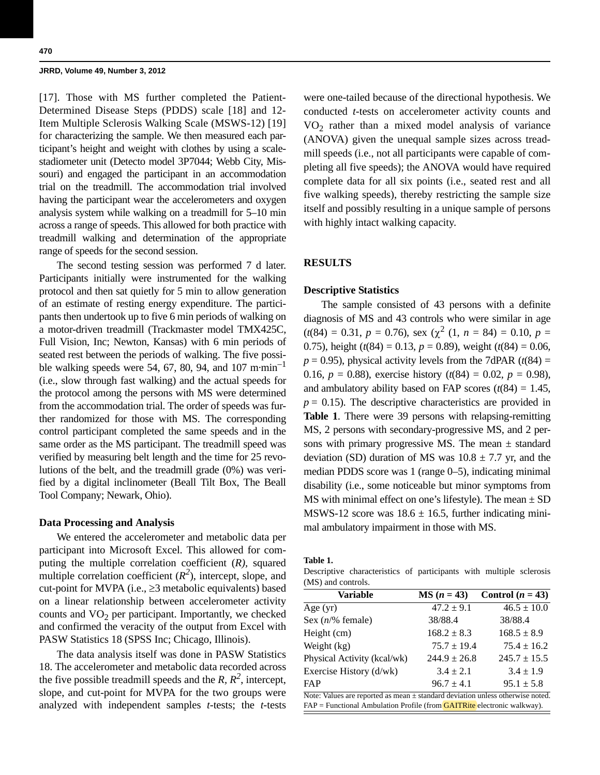[17]. Those with MS further completed the Patient-Determined Disease Steps (PDDS) scale [18] and 12- Item Multiple Sclerosis Walking Scale (MSWS-12) [19] for characterizing the sample. We then measured each participant's height and weight with clothes by using a scalestadiometer unit (Detecto model 3P7044; Webb City, Missouri) and engaged the participant in an accommodation trial on the treadmill. The accommodation trial involved having the participant wear the accelerometers and oxygen analysis system while walking on a treadmill for 5–10 min across a range of speeds. This allowed for both practice with treadmill walking and determination of the appropriate range of speeds for the second session.

The second testing session was performed 7 d later. Participants initially were instrumented for the walking protocol and then sat quietly for 5 min to allow generation of an estimate of resting energy expenditure. The participants then undertook up to five 6 min periods of walking on a motor-driven treadmill (Trackmaster model TMX425C, Full Vision, Inc; Newton, Kansas) with 6 min periods of seated rest between the periods of walking. The five possible walking speeds were 54, 67, 80, 94, and 107 m·min<sup>-1</sup> (i.e., slow through fast walking) and the actual speeds for the protocol among the persons with MS were determined from the accommodation trial. The order of speeds was further randomized for those with MS. The corresponding control participant completed the same speeds and in the same order as the MS participant. The treadmill speed was verified by measuring belt length and the time for 25 revolutions of the belt, and the treadmill grade (0%) was verified by a digital inclinometer (Beall Tilt Box, The Beall Tool Company; Newark, Ohio).

## **Data Processing and Analysis**

We entered the accelerometer and metabolic data per participant into Microsoft Excel. This allowed for computing the multiple correlation coefficient (*R),* squared multiple correlation coefficient  $(R^2)$ , intercept, slope, and cut-point for MVPA (i.e.,  $\geq$ 3 metabolic equivalents) based on a linear relationship between accelerometer activity counts and  $VO<sub>2</sub>$  per participant. Importantly, we checked and confirmed the veracity of the output from Excel with PASW Statistics 18 (SPSS Inc; Chicago, Illinois).

The data analysis itself was done in PASW Statistics 18. The accelerometer and metabolic data recorded across the five possible treadmill speeds and the  $R$ ,  $R^2$ , intercept, slope, and cut-point for MVPA for the two groups were analyzed with independent samples *t-*tests; the *t-*tests

were one-tailed because of the directional hypothesis. We conducted *t*-tests on accelerometer activity counts and  $VO<sub>2</sub>$  rather than a mixed model analysis of variance (ANOVA) given the unequal sample sizes across treadmill speeds (i.e., not all participants were capable of completing all five speeds); the ANOVA would have required complete data for all six points (i.e., seated rest and all five walking speeds), thereby restricting the sample size itself and possibly resulting in a unique sample of persons with highly intact walking capacity.

## **RESULTS**

## **Descriptive Statistics**

The sample consisted of 43 persons with a definite diagnosis of MS and 43 controls who were similar in age  $(t(84) = 0.31, p = 0.76)$ , sex  $(\chi^2 (1, n = 84) = 0.10, p =$ 0.75), height ( $t(84) = 0.13$ ,  $p = 0.89$ ), weight ( $t(84) = 0.06$ ,  $p = 0.95$ ), physical activity levels from the 7dPAR ( $t(84) =$ 0.16,  $p = 0.88$ ), exercise history ( $t(84) = 0.02$ ,  $p = 0.98$ ), and ambulatory ability based on FAP scores  $(t(84) = 1.45$ ,  $p = 0.15$ ). The descriptive characteristics are provided in **Table 1**. There were 39 persons with relapsing-remitting MS, 2 persons with secondary-progressive MS, and 2 persons with primary progressive MS. The mean  $\pm$  standard deviation (SD) duration of MS was  $10.8 \pm 7.7$  yr, and the median PDDS score was 1 (range 0–5), indicating minimal disability (i.e., some noticeable but minor symptoms from MS with minimal effect on one's lifestyle). The mean  $\pm$  SD MSWS-12 score was  $18.6 \pm 16.5$ , further indicating minimal ambulatory impairment in those with MS.

**Table 1.**

Descriptive characteristics of participants with multiple sclerosis (MS) and controls.

| <b>Variable</b>             | $MS (n = 43)$    | Control $(n = 43)$ |
|-----------------------------|------------------|--------------------|
| Age $(yr)$                  | $47.2 \pm 9.1$   | $46.5 \pm 10.0$    |
| Sex $(n/\%$ female)         | 38/88.4          | 38/88.4            |
| Height (cm)                 | $168.2 \pm 8.3$  | $168.5 \pm 8.9$    |
| Weight (kg)                 | $75.7 \pm 19.4$  | $75.4 \pm 16.2$    |
| Physical Activity (kcal/wk) | $244.9 \pm 26.8$ | $245.7 \pm 15.5$   |
| Exercise History (d/wk)     | $3.4 \pm 2.1$    | $3.4 \pm 1.9$      |
| <b>FAP</b>                  | $96.7 \pm 4.1$   | $95.1 \pm 5.8$     |

Note: Values are reported as mean ± standard deviation unless otherwise noted. FAP = Functional Ambulation Profile (from **GAITRite** electronic walkway).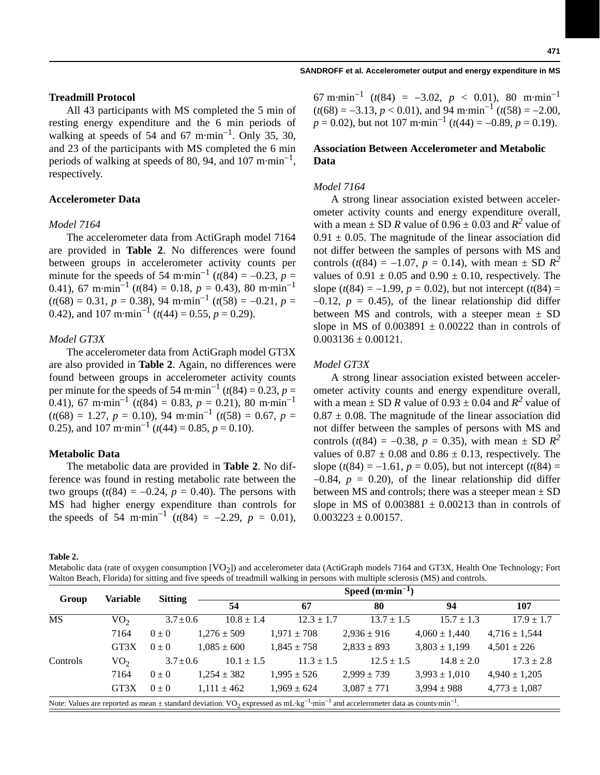## **Treadmill Protocol**

All 43 participants with MS completed the 5 min of resting energy expenditure and the 6 min periods of walking at speeds of 54 and 67 m $\cdot$ min<sup>-1</sup>. Only 35, 30, and 23 of the participants with MS completed the 6 min periods of walking at speeds of 80, 94, and 107 m $\cdot$ min<sup>-1</sup>, respectively.

## **Accelerometer Data**

#### *Model 7164*

The accelerometer data from ActiGraph model 7164 are provided in **Table 2**. No differences were found between groups in accelerometer activity counts per minute for the speeds of 54 m·min<sup>-1</sup> ( $t(84) = -0.23$ ,  $p =$ 0.41), 67 m·min<sup>-1</sup> ( $t(84) = 0.18$ ,  $p = 0.43$ ), 80 m·min<sup>-1</sup>  $(t(68) = 0.31, p = 0.38)$ , 94 m·min<sup>-1</sup>  $(t(58) = -0.21, p = 0.31)$ 0.42), and 107 m·min<sup>-1</sup> ( $t$ (44) = 0.55,  $p = 0.29$ ).

## *Model GT3X*

The accelerometer data from ActiGraph model GT3X are also provided in **Table 2**. Again, no differences were found between groups in accelerometer activity counts per minute for the speeds of 54 m·min<sup>-1</sup> ( $t(84) = 0.23, p = 1$ ) 0.41), 67 m·min<sup>-1</sup> ( $t(84) = 0.83$ ,  $p = 0.21$ ), 80 m·min<sup>-1</sup>  $(t(68) = 1.27, p = 0.10), 94 \text{ m} \cdot \text{min}^{-1}$   $(t(58) = 0.67, p = 0.10)$ 0.25), and 107 m·min<sup>-1</sup> ( $t$ (44) = 0.85,  $p$  = 0.10).

#### **Metabolic Data**

The metabolic data are provided in **Table 2**. No difference was found in resting metabolic rate between the two groups  $(t(84) = -0.24, p = 0.40)$ . The persons with MS had higher energy expenditure than controls for the speeds of 54 m·min<sup>-1</sup>  $(t(84) = -2.29, p = 0.01)$ ,

67 m·min<sup>-1</sup> ( $t(84) = -3.02$ ,  $p < 0.01$ ), 80 m·min<sup>-1</sup>  $(t(68) = -3.13, p < 0.01)$ , and 94 m·min<sup>-1</sup>  $(t(58) = -2.00,$  $p = 0.02$ ), but not 107 m·min<sup>-1</sup> ( $t$ (44) = -0.89,  $p = 0.19$ ).

## **Association Between Accelerometer and Metabolic Data**

#### *Model 7164*

A strong linear association existed between accelerometer activity counts and energy expenditure overall, with a mean  $\pm$  SD *R* value of 0.96  $\pm$  0.03 and *R*<sup>2</sup> value of  $0.91 \pm 0.05$ . The magnitude of the linear association did not differ between the samples of persons with MS and controls ( $t(84) = -1.07$ ,  $p = 0.14$ ), with mean  $\pm$  SD  $R^2$ values of  $0.91 \pm 0.05$  and  $0.90 \pm 0.10$ , respectively. The slope  $(t(84) = -1.99, p = 0.02)$ , but not intercept  $(t(84) =$  $-0.12$ ,  $p = 0.45$ ), of the linear relationship did differ between MS and controls, with a steeper mean  $\pm$  SD slope in MS of  $0.003891 \pm 0.00222$  than in controls of  $0.003136 \pm 0.00121$ .

#### *Model GT3X*

A strong linear association existed between accelerometer activity counts and energy expenditure overall, with a mean  $\pm$  SD *R* value of 0.93  $\pm$  0.04 and *R*<sup>2</sup> value of  $0.87 \pm 0.08$ . The magnitude of the linear association did not differ between the samples of persons with MS and controls ( $t(84) = -0.38$ ,  $p = 0.35$ ), with mean  $\pm$  SD  $R^2$ values of  $0.87 \pm 0.08$  and  $0.86 \pm 0.13$ , respectively. The slope  $(t(84) = -1.61, p = 0.05)$ , but not intercept  $(t(84) =$  $-0.84$ ,  $p = 0.20$ , of the linear relationship did differ between MS and controls; there was a steeper mean  $\pm$  SD slope in MS of  $0.003881 \pm 0.00213$  than in controls of  $0.003223 \pm 0.00157$ .

**Table 2.**

Metabolic data (rate of oxygen consumption [VO<sub>2</sub>]) and accelerometer data (ActiGraph models 7164 and GT3X, Health One Technology; Fort Walton Beach, Florida) for sitting and five speeds of treadmill walking in persons with multiple sclerosis (MS) and controls.

| Group                                                                                                                                                                                | Variable        | <b>Sitting</b> | Speed $(m \cdot min^{-1})$ |                 |                 |                   |                   |  |  |
|--------------------------------------------------------------------------------------------------------------------------------------------------------------------------------------|-----------------|----------------|----------------------------|-----------------|-----------------|-------------------|-------------------|--|--|
|                                                                                                                                                                                      |                 |                | 54                         | 67              | 80              | 94                | 107               |  |  |
| <b>MS</b>                                                                                                                                                                            | VO <sub>2</sub> | $3.7 \pm 0.6$  | $10.8 \pm 1.4$             | $12.3 \pm 1.7$  | $13.7 \pm 1.5$  | $15.7 \pm 1.3$    | $17.9 \pm 1.7$    |  |  |
|                                                                                                                                                                                      | 7164            | $0 \pm 0$      | $1,276 \pm 509$            | $1,971 \pm 708$ | $2,936 \pm 916$ | $4,060 \pm 1,440$ | $4,716 \pm 1,544$ |  |  |
|                                                                                                                                                                                      | GT3X            | $0 \pm 0$      | $1.085 \pm 600$            | $1.845 \pm 758$ | $2,833 \pm 893$ | $3,803 \pm 1,199$ | $4,501 \pm 226$   |  |  |
| Controls                                                                                                                                                                             | VO <sub>2</sub> | $3.7 \pm 0.6$  | $10.1 \pm 1.5$             | $11.3 \pm 1.5$  | $12.5 \pm 1.5$  | $14.8 \pm 2.0$    | $17.3 \pm 2.8$    |  |  |
|                                                                                                                                                                                      | 7164            | $0 \pm 0$      | $1,254 \pm 382$            | $1,995 \pm 526$ | $2,999 \pm 739$ | $3,993 \pm 1,010$ | $4,940 \pm 1,205$ |  |  |
|                                                                                                                                                                                      | GT3X            | $0\pm 0$       | $1.111 \pm 462$            | $1.969 \pm 624$ | $3,087 \pm 771$ | $3.994 \pm 988$   | $4,773 \pm 1,087$ |  |  |
| Note: Values are reported as mean $\pm$ standard deviation. VO <sub>2</sub> expressed as mL·kg <sup>-1</sup> ·min <sup>-1</sup> and accelerometer data as counts·min <sup>-1</sup> . |                 |                |                            |                 |                 |                   |                   |  |  |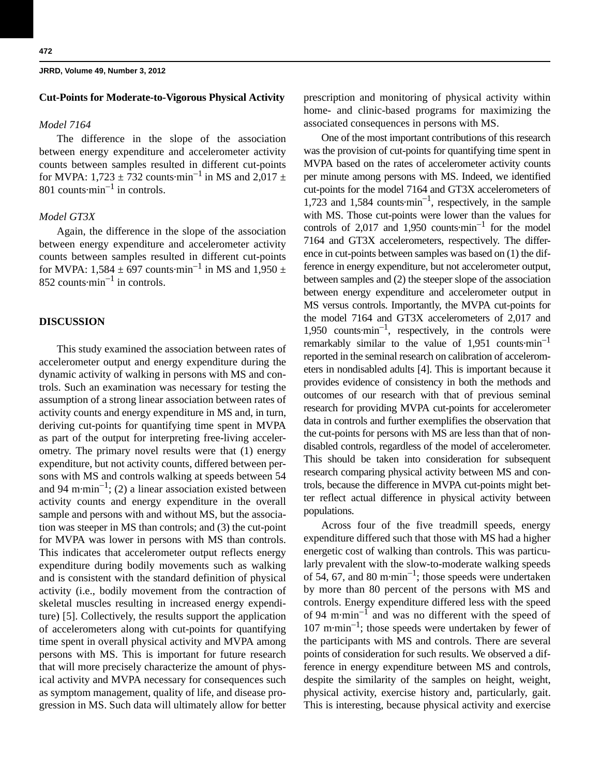## **Cut-Points for Moderate-to-Vigorous Physical Activity**

#### *Model 7164*

The difference in the slope of the association between energy expenditure and accelerometer activity counts between samples resulted in different cut-points for MVPA:  $1,723 \pm 732$  counts·min<sup>-1</sup> in MS and  $2,017 \pm 1$ 801 counts $\cdot$ min<sup>-1</sup> in controls.

## *Model GT3X*

Again, the difference in the slope of the association between energy expenditure and accelerometer activity counts between samples resulted in different cut-points for MVPA: 1,584  $\pm$  697 counts·min<sup>-1</sup> in MS and 1,950  $\pm$ 852 counts $\cdot$ min<sup>-1</sup> in controls.

## **DISCUSSION**

This study examined the association between rates of accelerometer output and energy expenditure during the dynamic activity of walking in persons with MS and controls. Such an examination was necessary for testing the assumption of a strong linear association between rates of activity counts and energy expenditure in MS and, in turn, deriving cut-points for quantifying time spent in MVPA as part of the output for interpreting free-living accelerometry. The primary novel results were that (1) energy expenditure, but not activity counts, differed between persons with MS and controls walking at speeds between 54 and 94 m·min<sup>-1</sup>; (2) a linear association existed between activity counts and energy expenditure in the overall sample and persons with and without MS, but the association was steeper in MS than controls; and (3) the cut-point for MVPA was lower in persons with MS than controls. This indicates that accelerometer output reflects energy expenditure during bodily movements such as walking and is consistent with the standard definition of physical activity (i.e., bodily movement from the contraction of skeletal muscles resulting in increased energy expenditure) [5]. Collectively, the results support the application of accelerometers along with cut-points for quantifying time spent in overall physical activity and MVPA among persons with MS. This is important for future research that will more precisely characterize the amount of physical activity and MVPA necessary for consequences such as symptom management, quality of life, and disease progression in MS. Such data will ultimately allow for better prescription and monitoring of physical activity within home- and clinic-based programs for maximizing the associated consequences in persons with MS.

One of the most important contributions of this research was the provision of cut-points for quantifying time spent in MVPA based on the rates of accelerometer activity counts per minute among persons with MS. Indeed, we identified cut-points for the model 7164 and GT3X accelerometers of 1,723 and 1,584 counts $\cdot$ min<sup>-1</sup>, respectively, in the sample with MS. Those cut-points were lower than the values for controls of 2,017 and 1,950 counts $\cdot$ min<sup>-1</sup> for the model 7164 and GT3X accelerometers, respectively. The difference in cut-points between samples was based on (1) the difference in energy expenditure, but not accelerometer output, between samples and (2) the steeper slope of the association between energy expenditure and accelerometer output in MS versus controls. Importantly, the MVPA cut-points for the model 7164 and GT3X accelerometers of 2,017 and 1,950 counts $\cdot$ min<sup>-1</sup>, respectively, in the controls were remarkably similar to the value of  $1,951$  counts $\text{min}^{-1}$ reported in the seminal research on calibration of accelerometers in nondisabled adults [4]. This is important because it provides evidence of consistency in both the methods and outcomes of our research with that of previous seminal research for providing MVPA cut-points for accelerometer data in controls and further exemplifies the observation that the cut-points for persons with MS are less than that of nondisabled controls, regardless of the model of accelerometer. This should be taken into consideration for subsequent research comparing physical activity between MS and controls, because the difference in MVPA cut-points might better reflect actual difference in physical activity between populations.

Across four of the five treadmill speeds, energy expenditure differed such that those with MS had a higher energetic cost of walking than controls. This was particularly prevalent with the slow-to-moderate walking speeds of 54, 67, and 80 m·min<sup>-1</sup>; those speeds were undertaken by more than 80 percent of the persons with MS and controls. Energy expenditure differed less with the speed of 94 m $\cdot$ min<sup>-1</sup> and was no different with the speed of  $107$  m·min<sup>-1</sup>; those speeds were undertaken by fewer of the participants with MS and controls. There are several points of consideration for such results. We observed a difference in energy expenditure between MS and controls, despite the similarity of the samples on height, weight, physical activity, exercise history and, particularly, gait. This is interesting, because physical activity and exercise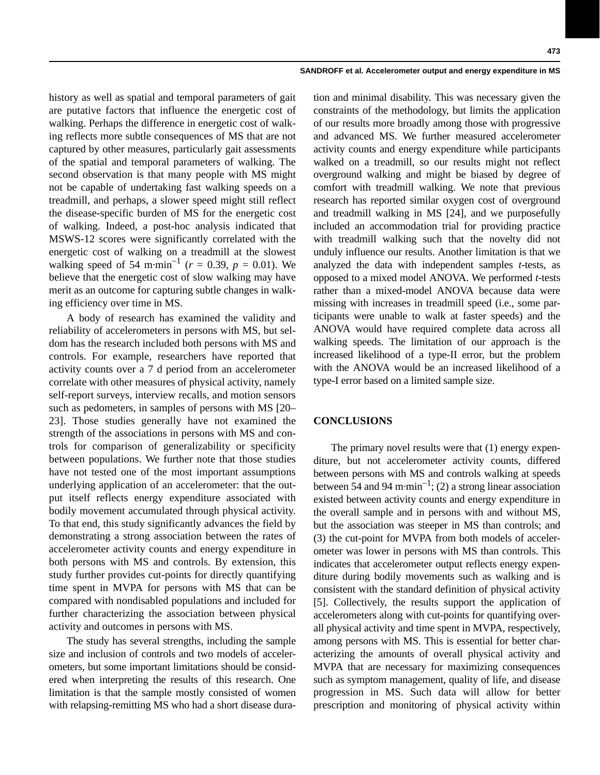history as well as spatial and temporal parameters of gait are putative factors that influence the energetic cost of walking. Perhaps the difference in energetic cost of walking reflects more subtle consequences of MS that are not captured by other measures, particularly gait assessments of the spatial and temporal parameters of walking. The second observation is that many people with MS might not be capable of undertaking fast walking speeds on a treadmill, and perhaps, a slower speed might still reflect the disease-specific burden of MS for the energetic cost of walking. Indeed, a post-hoc analysis indicated that MSWS-12 scores were significantly correlated with the energetic cost of walking on a treadmill at the slowest walking speed of 54 m·min<sup>-1</sup> ( $r = 0.39$ ,  $p = 0.01$ ). We believe that the energetic cost of slow walking may have merit as an outcome for capturing subtle changes in walking efficiency over time in MS.

A body of research has examined the validity and reliability of accelerometers in persons with MS, but seldom has the research included both persons with MS and controls. For example, researchers have reported that activity counts over a 7 d period from an accelerometer correlate with other measures of physical activity, namely self-report surveys, interview recalls, and motion sensors such as pedometers, in samples of persons with MS [20– 23]. Those studies generally have not examined the strength of the associations in persons with MS and controls for comparison of generalizability or specificity between populations. We further note that those studies have not tested one of the most important assumptions underlying application of an accelerometer: that the output itself reflects energy expenditure associated with bodily movement accumulated through physical activity. To that end, this study significantly advances the field by demonstrating a strong association between the rates of accelerometer activity counts and energy expenditure in both persons with MS and controls. By extension, this study further provides cut-points for directly quantifying time spent in MVPA for persons with MS that can be compared with nondisabled populations and included for further characterizing the association between physical activity and outcomes in persons with MS.

The study has several strengths, including the sample size and inclusion of controls and two models of accelerometers, but some important limitations should be considered when interpreting the results of this research. One limitation is that the sample mostly consisted of women with relapsing-remitting MS who had a short disease dura-

tion and minimal disability. This was necessary given the constraints of the methodology, but limits the application of our results more broadly among those with progressive and advanced MS. We further measured accelerometer activity counts and energy expenditure while participants walked on a treadmill, so our results might not reflect overground walking and might be biased by degree of comfort with treadmill walking. We note that previous research has reported similar oxygen cost of overground and treadmill walking in MS [24], and we purposefully included an accommodation trial for providing practice with treadmill walking such that the novelty did not unduly influence our results. Another limitation is that we analyzed the data with independent samples *t-*tests, as opposed to a mixed model ANOVA. We performed *t-*tests rather than a mixed-model ANOVA because data were missing with increases in treadmill speed (i.e., some participants were unable to walk at faster speeds) and the ANOVA would have required complete data across all walking speeds. The limitation of our approach is the increased likelihood of a type-II error, but the problem with the ANOVA would be an increased likelihood of a type-I error based on a limited sample size.

## **CONCLUSIONS**

The primary novel results were that (1) energy expenditure, but not accelerometer activity counts, differed between persons with MS and controls walking at speeds between 54 and 94 m·min<sup>-1</sup>; (2) a strong linear association existed between activity counts and energy expenditure in the overall sample and in persons with and without MS, but the association was steeper in MS than controls; and (3) the cut-point for MVPA from both models of accelerometer was lower in persons with MS than controls. This indicates that accelerometer output reflects energy expenditure during bodily movements such as walking and is consistent with the standard definition of physical activity [5]. Collectively, the results support the application of accelerometers along with cut-points for quantifying overall physical activity and time spent in MVPA, respectively, among persons with MS. This is essential for better characterizing the amounts of overall physical activity and MVPA that are necessary for maximizing consequences such as symptom management, quality of life, and disease progression in MS. Such data will allow for better prescription and monitoring of physical activity within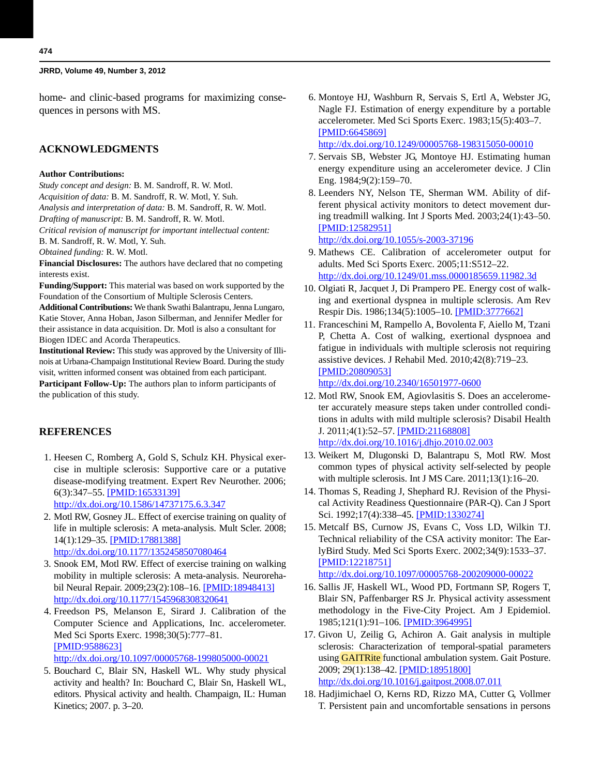home- and clinic-based programs for maximizing consequences in persons with MS.

## **ACKNOWLEDGMENTS**

#### **Author Contributions:**

*Study concept and design:* B. M. Sandroff, R. W. Motl. *Acquisition of data:* B. M. Sandroff, R. W. Motl, Y. Suh. *Analysis and interpretation of data:* B. M. Sandroff, R. W. Motl. *Drafting of manuscript:* B. M. Sandroff, R. W. Motl.

*Critical revision of manuscript for important intellectual content:* B. M. Sandroff, R. W. Motl, Y. Suh.

*Obtained funding:* R. W. Motl.

**Financial Disclosures:** The authors have declared that no competing interests exist.

**Funding/Support:** This material was based on work supported by the Foundation of the Consortium of Multiple Sclerosis Centers.

**Additional Contributions:** We thank Swathi Balantrapu, Jenna Lungaro, Katie Stover, Anna Hoban, Jason Silberman, and Jennifer Medler for their assistance in data acquisition. Dr. Motl is also a consultant for Biogen IDEC and Acorda Therapeutics.

**Institutional Review:** This study was approved by the University of Illinois at Urbana-Champaign Institutional Review Board. During the study visit, written informed consent was obtained from each participant. **Participant Follow-Up:** The authors plan to inform participants of the publication of this study.

## **REFERENCES**

 1. Heesen C, Romberg A, Gold S, Schulz KH. Physical exercise in multiple sclerosis: Supportive care or a putative disease-modifying treatment. Expert Rev Neurother. 2006; 6(3):347–55. [\[PMID:16533139\]](http://www.ncbi.nlm.nih.gov/entrez/query.fcgi?cmd=Retrieve&db=PubMed&list_uids=16533139&dopt=Abstract)

<http://dx.doi.org/10.1586/14737175.6.3.347>

- 2. Motl RW, Gosney JL. Effect of exercise training on quality of life in multiple sclerosis: A meta-analysis. Mult Scler. 2008; 14(1):129–35. [\[PMID:17881388\]](http://www.ncbi.nlm.nih.gov/entrez/query.fcgi?cmd=Retrieve&db=PubMed&list_uids=17881388&dopt=Abstract) <http://dx.doi.org/10.1177/1352458507080464>
- 3. Snook EM, Motl RW. Effect of exercise training on walking mobility in multiple sclerosis: A meta-analysis. Neurorehabil Neural Repair. 2009;23(2):108–16. [\[PMID:18948413\]](http://www.ncbi.nlm.nih.gov/entrez/query.fcgi?cmd=Retrieve&db=PubMed&list_uids=18948413&dopt=Abstract) <http://dx.doi.org/10.1177/1545968308320641>
- 4. Freedson PS, Melanson E, Sirard J. Calibration of the Computer Science and Applications, Inc. accelerometer. Med Sci Sports Exerc. 1998;30(5):777–81. [\[PMID:9588623\]](http://www.ncbi.nlm.nih.gov/entrez/query.fcgi?cmd=Retrieve&db=PubMed&list_uids=9588623&dopt=Abstract) <http://dx.doi.org/10.1097/00005768-199805000-00021>
- 5. Bouchard C, Blair SN, Haskell WL. Why study physical activity and health? In: Bouchard C, Blair Sn, Haskell WL, editors. Physical activity and health. Champaign, IL: Human Kinetics; 2007. p. 3–20.

6. Montoye HJ, Washburn R, Servais S, Ertl A, Webster JG, Nagle FJ. Estimation of energy expenditure by a portable accelerometer. Med Sci Sports Exerc. 1983;15(5):403–7. [\[PMID:6645869\]](http://www.ncbi.nlm.nih.gov/entrez/query.fcgi?cmd=Retrieve&db=PubMed&list_uids=6645869&dopt=Abstract)

<http://dx.doi.org/10.1249/00005768-198315050-00010>

- 7. Servais SB, Webster JG, Montoye HJ. Estimating human energy expenditure using an accelerometer device. J Clin Eng. 1984;9(2):159–70.
- 8. Leenders NY, Nelson TE, Sherman WM. Ability of different physical activity monitors to detect movement during treadmill walking. Int J Sports Med. 2003;24(1):43–50. [\[PMID:12582951\]](http://www.ncbi.nlm.nih.gov/entrez/query.fcgi?cmd=Retrieve&db=PubMed&list_uids=12582951&dopt=Abstract) <http://dx.doi.org/10.1055/s-2003-37196>
- 9. Mathews CE. Calibration of accelerometer output for adults. Med Sci Sports Exerc. 2005;11:S512–22. <http://dx.doi.org/10.1249/01.mss.0000185659.11982.3d>
- 10. Olgiati R, Jacquet J, Di Prampero PE. Energy cost of walking and exertional dyspnea in multiple sclerosis. Am Rev Respir Dis. 1986;134(5):1005–10. [\[PMID:3777662\]](http://www.ncbi.nlm.nih.gov/entrez/query.fcgi?cmd=Retrieve&db=PubMed&list_uids=3777662&dopt=Abstract)
- 11. Franceschini M, Rampello A, Bovolenta F, Aiello M, Tzani P, Chetta A. Cost of walking, exertional dyspnoea and fatigue in individuals with multiple sclerosis not requiring assistive devices. J Rehabil Med. 2010;42(8):719–23. [\[PMID:20809053\]](http://www.ncbi.nlm.nih.gov/entrez/query.fcgi?cmd=Retrieve&db=PubMed&list_uids=20809053&dopt=Abstract) <http://dx.doi.org/10.2340/16501977-0600>

12. Motl RW, Snook EM, Agiovlasitis S. Does an accelerometer accurately measure steps taken under controlled conditions in adults with mild multiple sclerosis? Disabil Health J. 2011;4(1):52–57. [\[PMID:21168808\]](http://www.ncbi.nlm.nih.gov/entrez/query.fcgi?cmd=Retrieve&db=PubMed&list_uids=21168808&dopt=Abstract) <http://dx.doi.org/10.1016/j.dhjo.2010.02.003>

- 13. Weikert M, Dlugonski D, Balantrapu S, Motl RW. Most common types of physical activity self-selected by people with multiple sclerosis. Int J MS Care. 2011;13(1):16–20.
- 14. Thomas S, Reading J, Shephard RJ. Revision of the Physical Activity Readiness Questionnaire (PAR-Q). Can J Sport Sci. 1992;17(4):338–45. [\[PMID:1330274\]](http://www.ncbi.nlm.nih.gov/entrez/query.fcgi?cmd=Retrieve&db=PubMed&list_uids=1330274&dopt=Abstract)
- 15. Metcalf BS, Curnow JS, Evans C, Voss LD, Wilkin TJ. Technical reliability of the CSA activity monitor: The EarlyBird Study. Med Sci Sports Exerc. 2002;34(9):1533–37. [\[PMID:12218751\]](http://www.ncbi.nlm.nih.gov/entrez/query.fcgi?cmd=Retrieve&db=PubMed&list_uids=12218751&dopt=Abstract)

<http://dx.doi.org/10.1097/00005768-200209000-00022>

- 16. Sallis JF, Haskell WL, Wood PD, Fortmann SP, Rogers T, Blair SN, Paffenbarger RS Jr. Physical activity assessment methodology in the Five-City Project. Am J Epidemiol. 1985;121(1):91–106. [\[PMID:3964995\]](http://www.ncbi.nlm.nih.gov/entrez/query.fcgi?cmd=Retrieve&db=PubMed&list_uids=3964995&dopt=Abstract)
- 17. Givon U, Zeilig G, Achiron A. Gait analysis in multiple sclerosis: Characterization of temporal-spatial parameters using **GAITRite** functional ambulation system. Gait Posture. 2009; 29(1):138–42. [\[PMID:18951800\]](http://www.ncbi.nlm.nih.gov/entrez/query.fcgi?cmd=Retrieve&db=PubMed&list_uids=18951800&dopt=Abstract) <http://dx.doi.org/10.1016/j.gaitpost.2008.07.011>
- 18. Hadjimichael O, Kerns RD, Rizzo MA, Cutter G, Vollmer T. Persistent pain and uncomfortable sensations in persons